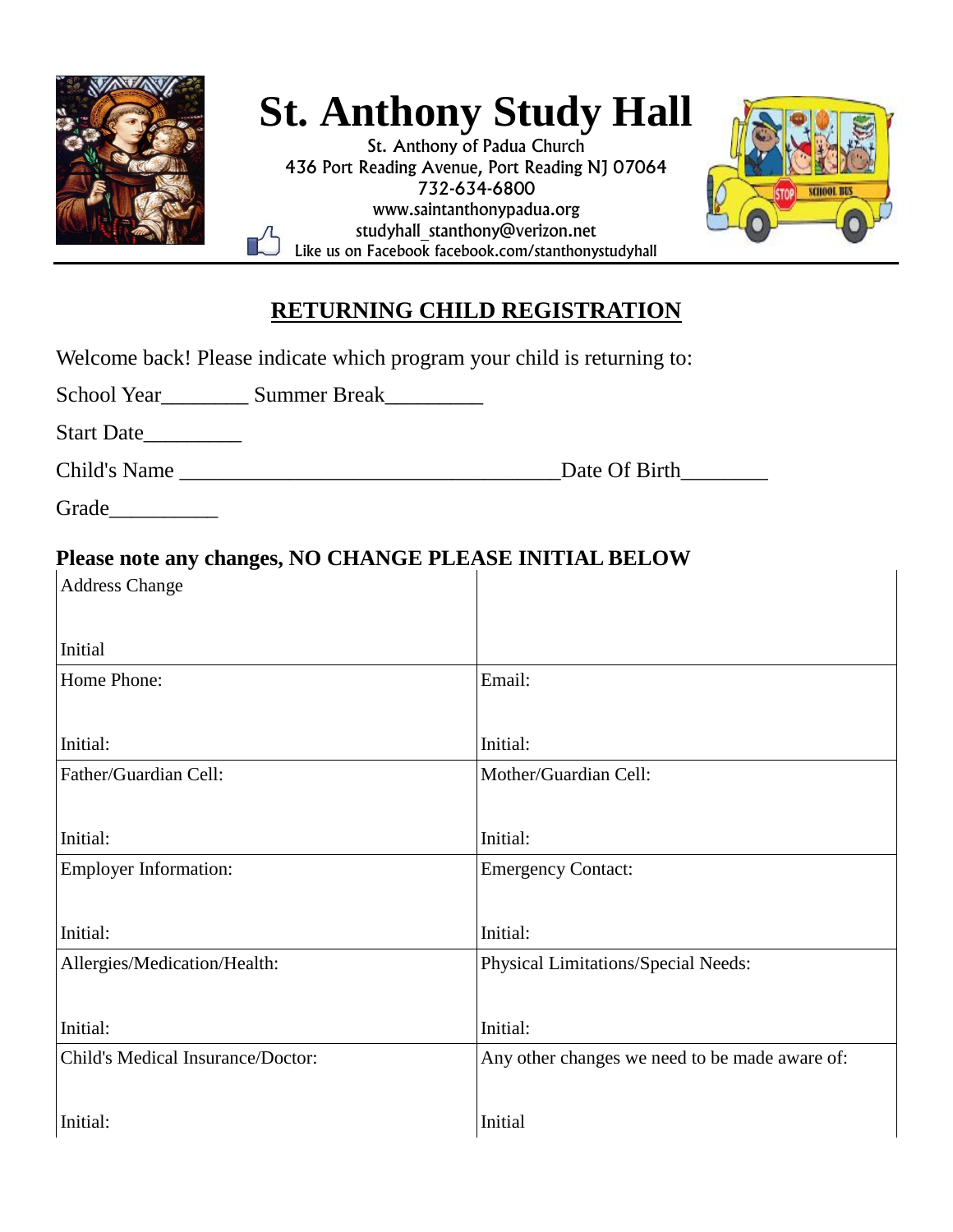

## **St. Anthony Study Hall**

St. Anthony of Padua Church 436 Port Reading Avenue, Port Reading NJ 07064 732-634-6800 www.saintanthonypadua.org studyhall\_stanthony@verizon.net Like us on Facebook facebook.com/stanthonystudyhall



## **RETURNING CHILD REGISTRATION**

| Welcome back! Please indicate which program your child is returning to:          |                                                |
|----------------------------------------------------------------------------------|------------------------------------------------|
| School Year____________ Summer Break___________                                  |                                                |
| Start Date                                                                       |                                                |
|                                                                                  | Date Of Birth                                  |
| Grade____________                                                                |                                                |
| Please note any changes, NO CHANGE PLEASE INITIAL BELOW<br><b>Address Change</b> |                                                |
| Initial                                                                          |                                                |
| Home Phone:                                                                      | Email:                                         |
| Initial:                                                                         | Initial:                                       |
| Father/Guardian Cell:                                                            | Mother/Guardian Cell:                          |
| Initial:                                                                         | Initial:                                       |
| <b>Employer Information:</b>                                                     | <b>Emergency Contact:</b>                      |
| Initial:                                                                         | Initial:                                       |
| Allergies/Medication/Health:                                                     | Physical Limitations/Special Needs:            |
| Initial:                                                                         | Initial:                                       |
| Child's Medical Insurance/Doctor:                                                | Any other changes we need to be made aware of: |
| Initial:                                                                         | Initial                                        |